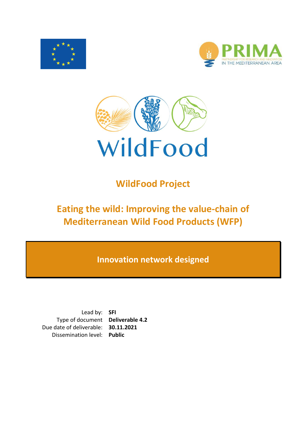





# **WildFood Project**

# **Eating the wild: Improving the value-chain of Mediterranean Wild Food Products (WFP)**

**Innovation network designed**

Lead by: **SFI** Type of document **Deliverable 4.2** Due date of deliverable: **30.11.2021** Dissemination level: **Public**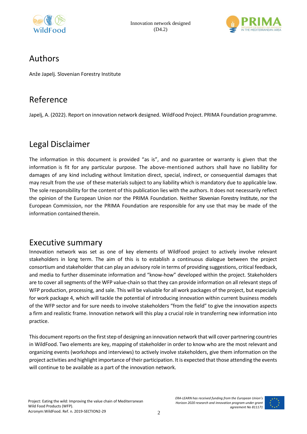



### Authors

Anže Japelj. Slovenian Forestry Institute

### Reference

Japelj, A. (2022). Report on innovation network designed. WildFood Project. PRIMA Foundation programme.

### Legal Disclaimer

The information in this document is provided "as is", and no guarantee or warranty is given that the information is fit for any particular purpose. The above-mentioned authors shall have no liability for damages of any kind including without limitation direct, special, indirect, or consequential damages that may result from the use of these materials subject to any liability which is mandatory due to applicable law. The sole responsibility for the content of this publication lies with the authors. It does not necessarily reflect the opinion of the European Union nor the PRIMA Foundation. Neither Slovenian Forestry Institute, nor the European Commission, nor the PRIMA Foundation are responsible for any use that may be made of the information contained therein.

### Executive summary

Innovation network was set as one of key elements of WildFood project to actively involve relevant stakeholders in long term. The aim of this is to establish a continuous dialogue between the project consortium and stakeholder that can play an advisory role in terms of providing suggestions, critical feedback, and media to further disseminate information and "know-how" developed within the project. Stakeholders are to cover all segments of the WFP value-chain so that they can provide information on all relevant steps of WFP production, processing, and sale. This will be valuable for all work packages of the project, but especially for work package 4, which will tackle the potential of introducing innovation within current business models of the WFP sector and for sure needs to involve stakeholders "from the field" to give the innovation aspects a firm and realistic frame. Innovation network will this play a crucial role in transferring new information into practice.

This document reports on the first step of designing an innovation network that will cover partnering countries in WildFood. Two elements are key, mapping of stakeholder in order to know who are the most relevant and organizing events (workshops and interviews) to actively involve stakeholders, give them information on the project activities and highlight importance of their participation. It is expected that those attending the events will continue to be available as a part of the innovation network.

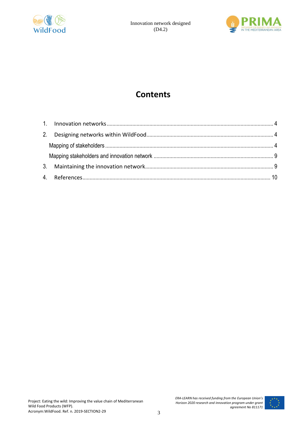



## **Contents**

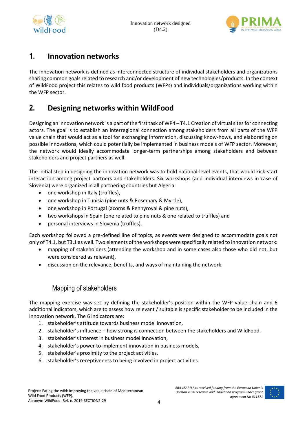



#### <span id="page-3-0"></span>**1. Innovation networks**

The innovation network is defined as interconnected structure of individual stakeholders and organizations sharing common goals related to research and/or development of new technologies/products. In the context of WildFood project this relates to wild food products (WFPs) and individuals/organizations working within the WFP sector.

#### <span id="page-3-1"></span>**2. Designing networks within WildFood**

Designing an innovation network is a part of the first task of WP4 – T4.1 Creation of virtual sites for connecting actors. The goal is to establish an interregional connection among stakeholders from all parts of the WFP value chain that would act as a tool for exchanging information, discussing know-hows, and elaborating on possible innovations, which could potentially be implemented in business models of WFP sector. Moreover, the network would ideally accommodate longer-term partnerships among stakeholders and between stakeholders and project partners as well.

The initial step in designing the innovation network was to hold national-level events, that would kick-start interaction among project partners and stakeholders. Six workshops (and individual interviews in case of Slovenia) were organized in all partnering countries but Algeria:

- one workshop in Italy (truffles),
- one workshop in Tunisia (pine nuts & Rosemary & Myrtle),
- one workshop in Portugal (acorns & Pennyroyal & pine nuts),
- two workshops in Spain (one related to pine nuts & one related to truffles) and
- personal interviews in Slovenia (truffles).

Each workshop followed a pre-defined line of topics, as events were designed to accommodate goals not only of T4.1, but T3.1 as well. Two elements of the workshops were specifically related to innovation network:

- mapping of stakeholders (attending the workshop and in some cases also those who did not, but were considered as relevant),
- discussion on the relevance, benefits, and ways of maintaining the network.

#### Mapping of stakeholders

<span id="page-3-2"></span>The mapping exercise was set by defining the stakeholder's position within the WFP value chain and 6 additional indicators, which are to assess how relevant / suitable is specific stakeholder to be included in the innovation network. The 6 indicators are:

- 1. stakeholder's attitude towards business model innovation,
- 2. stakeholder's influence how strong is connection between the stakeholders and WildFood,
- 3. stakeholder's interest in business model innovation,
- 4. stakeholder's power to implement innovation in business models,
- 5. stakeholder's proximity to the project activities,
- 6. stakeholder's receptiveness to being involved in project activities.

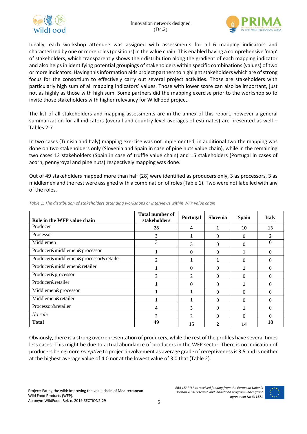



Ideally, each workshop attendee was assigned with assessments for all 6 mapping indicators and characterized by one or more roles (positions) in the value chain. This enabled having a comprehensive 'map' of stakeholders, which transparently shows their distribution along the gradient of each mapping indicator and also helps in identifying potential groupings of stakeholders within specific combinations (values) of two or more indicators. Having this information aids project partners to highlight stakeholders which are of strong focus for the consortium to effectively carry out several project activities. Those are stakeholders with particularly high sum of all mapping indicators' values. Those with lower score can also be important, just not as highly as those with high sum. Some partners did the mapping exercise prior to the workshop so to invite those stakeholders with higher relevancy for WildFood project.

The list of all stakeholders and mapping assessments are in the annex of this report, however a general summarization for all indicators (overall and country level averages of estimates) are presented as well – Tables 2-7.

In two cases (Tunisia and Italy) mapping exercise was not implemented, in additional two the mapping was done on two stakeholders only (Slovenia and Spain in case of pine nuts value chain), while in the remaining two cases 12 stakeholders (Spain in case of truffle value chain) and 15 stakeholders (Portugal in cases of acorn, pennyroyal and pine nuts) respectively mapping was done.

Out of 49 stakeholders mapped more than half (28) were identified as producers only, 3 as processors, 3 as middlemen and the rest were assigned with a combination of roles (Table 1). Two were not labelled with any of the roles.

| Role in the WFP value chain           | <b>Total number of</b><br>stakeholders | Portugal       | Slovenia | <b>Spain</b> | <b>Italy</b> |
|---------------------------------------|----------------------------------------|----------------|----------|--------------|--------------|
| Producer                              | 28                                     | 4              | 1        | 10           | 13           |
| Processor                             | 3                                      |                | 0        | 0            | 2            |
| Middlemen                             | 3                                      | 3              | 0        | $^{(1)}$     | $\Omega$     |
| Producer&middlemen&processor          |                                        | $\Omega$       | 0        |              | $\Omega$     |
| Producer&middlemen&processor&retailer | 2                                      |                |          | 0            | $\Omega$     |
| Producer&middlemen&retailer           |                                        | $\Omega$       | $\Omega$ |              | $\Omega$     |
| Producer&processor                    | $\mathfrak z$                          | $\overline{2}$ | $\Omega$ | $\Omega$     | $\Omega$     |
| Producer&retailer                     |                                        | $\Omega$       | 0        |              | $\Omega$     |
| Middlemen&processor                   |                                        |                | $\Omega$ | 0            | $\Omega$     |
| Middlemen&retailer                    |                                        |                | 0        | 0            | $\Omega$     |
| Processor&retailer                    | 4                                      | 3              | $\Omega$ |              | $\Omega$     |
| No role                               | 2                                      | $\mathcal{P}$  | 0        | 0            | $\Omega$     |
| <b>Total</b>                          | 49                                     | 15             | 2        | 14           | 18           |

*Table 1: The distribution of stakeholders attending workshops or interviews within WFP value chain*

Obviously, there is a strong overrepresentation of producers, while the rest of the profiles have several times less cases. This might be due to actual abundance of producers in the WFP sector. There is no indication of producers being more *receptive* to project involvement as average grade of receptiveness is 3.5 and is neither at the highest average value of 4.0 nor at the lowest value of 3.0 that (Table 2).

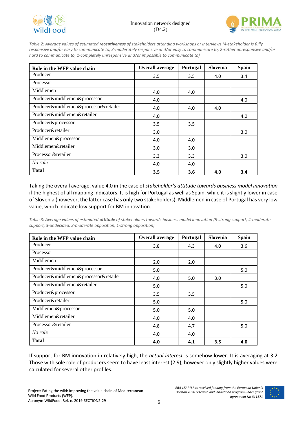



*Table 2: Average values of estimated receptiveness of stakeholders attending workshops or interviews (4-stakeholder is fully responsive and/or easy to communicate to, 3-moderately responsive and/or easy to communicate to, 2-rather unresponsive and/or hard to communicate to, 1-completely unresponsive and/or impossible to communicate to)*

| Role in the WFP value chain           | <b>Overall average</b> | Portugal | Slovenia | <b>Spain</b> |
|---------------------------------------|------------------------|----------|----------|--------------|
| Producer                              | 3.5                    | 3.5      | 4.0      | 3.4          |
| Processor                             |                        |          |          |              |
| Middlemen                             | 4.0                    | 4.0      |          |              |
| Producer&middlemen&processor          | 4.0                    |          |          | 4.0          |
| Producer&middlemen&processor&retailer | 4.0                    | 4.0      | 4.0      |              |
| Producer&middlemen&retailer           | 4.0                    |          |          | 4.0          |
| Producer&processor                    | 3.5                    | 3.5      |          |              |
| Producer&retailer                     | 3.0                    |          |          | 3.0          |
| Middlemen&processor                   | 4.0                    | 4.0      |          |              |
| Middlemen&retailer                    | 3.0                    | 3.0      |          |              |
| Processor&retailer                    | 3.3                    | 3.3      |          | 3.0          |
| No role                               | 4.0                    | 4.0      |          |              |
| <b>Total</b>                          | 3.5                    | 3.6      | 4.0      | 3.4          |

Taking the overall average, value 4.0 in the case of *stakeholder's attitude towards business model innovation* if the highest of all mapping indicators. It is high for Portugal as well as Spain, while it is slightly lower in case of Slovenia (however, the latter case has only two stakeholders). Middlemen in case of Portugal has very low value, which indicate low support for BM innovation.

*Table 3: Average values of estimated attitude of stakeholders towards business model innovation (5-strong support, 4-moderate support, 3-undecided, 2-moderate opposition, 1-strong opposition)*

| Role in the WFP value chain           | <b>Overall average</b> | Portugal | Slovenia | <b>Spain</b> |
|---------------------------------------|------------------------|----------|----------|--------------|
| Producer                              | 3.8                    | 4.3      | 4.0      | 3.6          |
| Processor                             |                        |          |          |              |
| Middlemen                             | 2.0                    | 2.0      |          |              |
| Producer&middlemen&processor          | 5.0                    |          |          | 5.0          |
| Producer&middlemen&processor&retailer | 4.0                    | 5.0      | 3.0      |              |
| Producer&middlemen&retailer           | 5.0                    |          |          | 5.0          |
| Producer&processor                    | 3.5                    | 3.5      |          |              |
| Producer&retailer                     | 5.0                    |          |          | 5.0          |
| Middlemen&processor                   | 5.0                    | 5.0      |          |              |
| Middlemen&retailer                    | 4.0                    | 4.0      |          |              |
| Processor&retailer                    | 4.8                    | 4.7      |          | 5.0          |
| No role                               | 4.0                    | 4.0      |          |              |
| <b>Total</b>                          | 4.0                    | 4.1      | 3.5      | 4.0          |

If support for BM innovation in relatively high, the *actual interest* is somehow lower. It is averaging at 3.2 Those with sole role of producers seem to have least interest (2.9), however only slightly higher values were calculated for several other profiles.

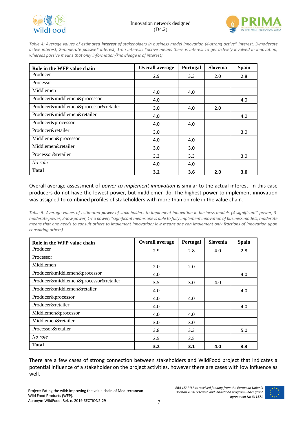



*Table 4: Average values of estimated interest of stakeholders in business model innovation (4-strong active\* interest, 3-moderate active interest, 2-moderate passive\* interest, 1-no interest; \*active means there is interest to get actively involved in innovation, whereas passive means that only information/knowledge is of interest)*

| Role in the WFP value chain           | <b>Overall average</b> | Portugal | Slovenia | <b>Spain</b> |
|---------------------------------------|------------------------|----------|----------|--------------|
| Producer                              | 2.9                    | 3.3      | 2.0      | 2.8          |
| Processor                             |                        |          |          |              |
| Middlemen                             | 4.0                    | 4.0      |          |              |
| Producer&middlemen&processor          | 4.0                    |          |          | 4.0          |
| Producer&middlemen&processor&retailer | 3.0                    | 4.0      | 2.0      |              |
| Producer&middlemen&retailer           | 4.0                    |          |          | 4.0          |
| Producer&processor                    | 4.0                    | 4.0      |          |              |
| Producer&retailer                     | 3.0                    |          |          | 3.0          |
| Middlemen&processor                   | 4.0                    | 4.0      |          |              |
| Middlemen&retailer                    | 3.0                    | 3.0      |          |              |
| Processor&retailer                    | 3.3                    | 3.3      |          | 3.0          |
| No role                               | 4.0                    | 4.0      |          |              |
| <b>Total</b>                          | 3.2                    | 3.6      | 2.0      | 3.0          |

Overall average assessment of *power to implement innovation* is similar to the actual interest. In this case producers do not have the lowest power, but middlemen do. The highest power to implement innovation was assigned to combined profiles of stakeholders with more than on role in the value chain.

*Table 5: Average values of estimated power of stakeholders to implement innovation in business models (4-significant\* power, 3 moderate power, 2-low power, 1-no power; \*significant means one is able to fully implement innovation of business models; moderate means that one needs to consult others to implement innovation; low means one can implement only fractions of innovation upon consulting others)*

| Role in the WFP value chain           | <b>Overall average</b> | Portugal | Slovenia | <b>Spain</b> |
|---------------------------------------|------------------------|----------|----------|--------------|
| Producer                              | 2.9                    | 2.8      | 4.0      | 2.8          |
| Processor                             |                        |          |          |              |
| Middlemen                             | 2.0                    | 2.0      |          |              |
| Producer&middlemen&processor          | 4.0                    |          |          | 4.0          |
| Producer&middlemen&processor&retailer | 3.5                    | 3.0      | 4.0      |              |
| Producer&middlemen&retailer           | 4.0                    |          |          | 4.0          |
| Producer&processor                    | 4.0                    | 4.0      |          |              |
| Producer&retailer                     | 4.0                    |          |          | 4.0          |
| Middlemen&processor                   | 4.0                    | 4.0      |          |              |
| Middlemen&retailer                    | 3.0                    | 3.0      |          |              |
| Processor&retailer                    | 3.8                    | 3.3      |          | 5.0          |
| No role                               | 2.5                    | 2.5      |          |              |
| <b>Total</b>                          | 3.2                    | 3.1      | 4.0      | 3.3          |

There are a few cases of strong connection between stakeholders and WildFood project that indicates a potential influence of a stakeholder on the project activities, however there are cases with low influence as well.

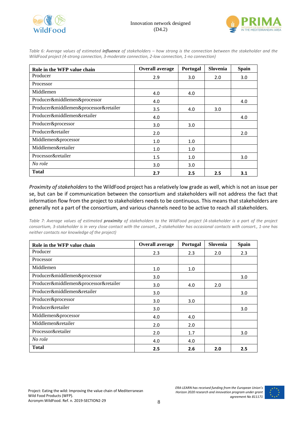



*Table 6: Average values of estimated influence of stakeholders – how strong is the connection between the stakeholder and the WildFood project (4-strong connection, 3-moderate connection, 2-low connection, 1-no connection)*

| Role in the WFP value chain           | <b>Overall average</b> | Portugal | Slovenia | <b>Spain</b> |
|---------------------------------------|------------------------|----------|----------|--------------|
| Producer                              | 2.9                    | 3.0      | 2.0      | 3.0          |
| Processor                             |                        |          |          |              |
| Middlemen                             | 4.0                    | 4.0      |          |              |
| Producer&middlemen&processor          | 4.0                    |          |          | 4.0          |
| Producer&middlemen&processor&retailer | 3.5                    | 4.0      | 3.0      |              |
| Producer&middlemen&retailer           | 4.0                    |          |          | 4.0          |
| Producer&processor                    | 3.0                    | 3.0      |          |              |
| Producer&retailer                     | 2.0                    |          |          | 2.0          |
| Middlemen&processor                   | 1.0                    | 1.0      |          |              |
| Middlemen&retailer                    | 1.0                    | 1.0      |          |              |
| Processor&retailer                    | 1.5                    | 1.0      |          | 3.0          |
| No role                               | 3.0                    | 3.0      |          |              |
| <b>Total</b>                          | 2.7                    | 2.5      | 2.5      | 3.1          |

*Proximity of stakeholders* to the WildFood project has a relatively low grade as well, which is not an issue per se, but can be if communication between the consortium and stakeholders will not address the fact that information flow from the project to stakeholders needs to be continuous. This means that stakeholders are generally not a part of the consortium, and various channels need to be active to reach all stakeholders.

*Table 7: Average values of estimated proximity of stakeholders to the WildFood project (4-stakeholder is a part of the project consortium, 3-stakeholder is in very close contact with the consort., 2-stakeholder has occasional contacts with consort., 1-one has neither contacts nor knowledge of the project)*

| Role in the WFP value chain           | <b>Overall average</b> | Portugal | Slovenia | <b>Spain</b> |
|---------------------------------------|------------------------|----------|----------|--------------|
| Producer                              | 2.3                    | 2.3      | 2.0      | 2.3          |
| Processor                             |                        |          |          |              |
| Middlemen                             | 1.0                    | 1.0      |          |              |
| Producer&middlemen&processor          | 3.0                    |          |          | 3.0          |
| Producer&middlemen&processor&retailer | 3.0                    | 4.0      | 2.0      |              |
| Producer&middlemen&retailer           | 3.0                    |          |          | 3.0          |
| Producer&processor                    | 3.0                    | 3.0      |          |              |
| Producer&retailer                     | 3.0                    |          |          | 3.0          |
| Middlemen&processor                   | 4.0                    | 4.0      |          |              |
| Middlemen&retailer                    | 2.0                    | 2.0      |          |              |
| Processor&retailer                    | 2.0                    | 1.7      |          | 3.0          |
| No role                               | 4.0                    | 4.0      |          |              |
| <b>Total</b>                          | 2.5                    | 2.6      | 2.0      | 2.5          |

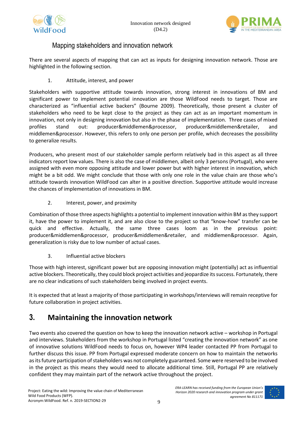



#### Mapping stakeholders and innovation network

<span id="page-8-0"></span>There are several aspects of mapping that can act as inputs for designing innovation network. Those are highlighted in the following section.

1. Attitude, interest, and power

Stakeholders with supportive attitude towards innovation, strong interest in innovations of BM and significant power to implement potential innovation are those WildFood needs to target. Those are characterized as "influential active backers" (Bourne 2009). Theoretically, those present a cluster of stakeholders who need to be kept close to the project as they can act as an important momentum in innovation, not only in designing innovation but also in the phase of implementation. Three cases of mixed profiles stand out: producer&middlemen&processor, producer&middlemen&retailer, and middlemen&processor. However, this refers to only one person per profile, which decreases the possibility to generalize results.

Producers, who present most of our stakeholder sample perform relatively bad in this aspect as all three indicators report low values. There is also the case of middlemen, albeit only 3 persons (Portugal), who were assigned with even more opposing attitude and lower power but with higher interest in innovation, which might be a bit odd. We might conclude that those with only one role in the value chain are those who's attitude towards innovation WildFood can alter in a positive direction. Supportive attitude would increase the chances of implementation of innovations in BM.

2. Interest, power, and proximity

Combination of those three aspects highlights a potential to implement innovation within BM as they support it, have the power to implement it, and are also close to the project so that "know-how" transfer can be quick and effective. Actually, the same three cases loom as in the previous point: producer&middlemen&processor, producer&middlemen&retailer, and middlemen&processor. Again, generalization is risky due to low number of actual cases.

3. Influential active blockers

Those with high interest, significant power but are opposing innovation might (potentially) act as influential active blockers. Theoretically, they could block project activities and jeopardize its success. Fortunately, there are no clear indications of such stakeholders being involved in project events.

It is expected that at least a majority of those participating in workshops/interviews will remain receptive for future collaboration in project activities.

### <span id="page-8-1"></span>**3. Maintaining the innovation network**

Two events also covered the question on how to keep the innovation network active – workshop in Portugal and interviews. Stakeholders from the workshop in Portugal listed "creating the innovation network" as one of innovative solutions WildFood needs to focus on, however WP4 leader contacted PP from Portugal to further discuss this issue. PP from Portugal expressed moderate concern on how to maintain the networks as itsfuture participation of stakeholders was not completely guaranteed. Some were reserved to be involved in the project as this means they would need to allocate additional time. Still, Portugal PP are relatively confident they may maintain part of the network active throughout the project.

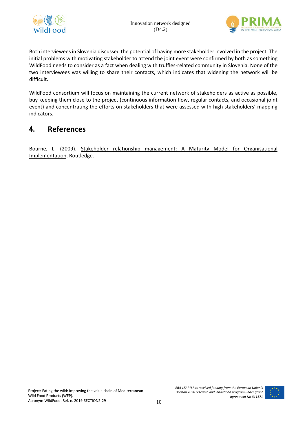



Both interviewees in Slovenia discussed the potential of having more stakeholder involved in the project. The initial problems with motivating stakeholder to attend the joint event were confirmed by both as something WildFood needs to consider as a fact when dealing with truffles-related community in Slovenia. None of the two interviewees was willing to share their contacts, which indicates that widening the network will be difficult.

WildFood consortium will focus on maintaining the current network of stakeholders as active as possible, buy keeping them close to the project (continuous information flow, regular contacts, and occasional joint event) and concentrating the efforts on stakeholders that were assessed with high stakeholders' mapping indicators.

#### <span id="page-9-0"></span>**4. References**

Bourne, L. (2009). Stakeholder relationship management: A Maturity Model for Organisational Implementation, Routledge.